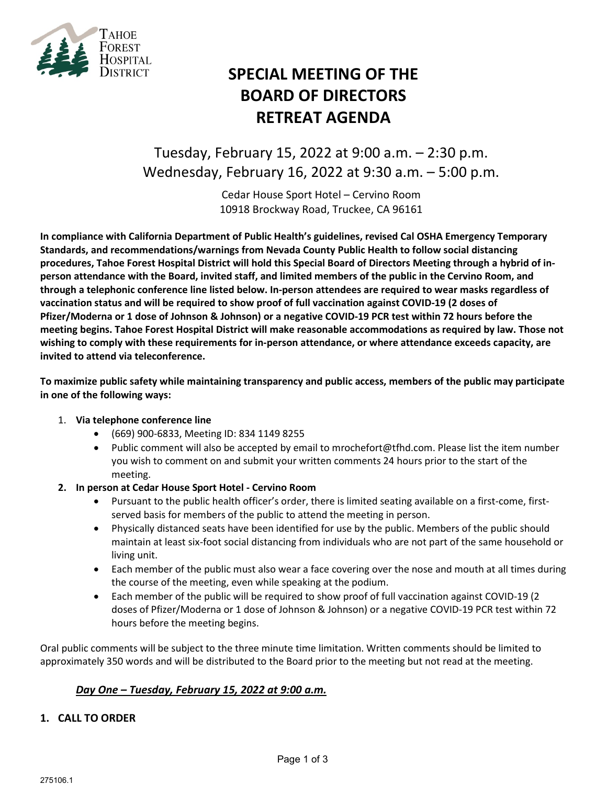

# **SPECIAL MEETING OF THE BOARD OF DIRECTORS RETREAT AGENDA**

Tuesday, February 15, 2022 at 9:00 a.m. – 2:30 p.m. Wednesday, February 16, 2022 at 9:30 a.m. – 5:00 p.m.

> Cedar House Sport Hotel – Cervino Room 10918 Brockway Road, Truckee, CA 96161

**In compliance with California Department of Public Health's guidelines, revised Cal OSHA Emergency Temporary Standards, and recommendations/warnings from Nevada County Public Health to follow social distancing procedures, Tahoe Forest Hospital District will hold this Special Board of Directors Meeting through a hybrid of inperson attendance with the Board, invited staff, and limited members of the public in the Cervino Room, and through a telephonic conference line listed below. In-person attendees are required to wear masks regardless of vaccination status and will be required to show proof of full vaccination against COVID-19 (2 doses of Pfizer/Moderna or 1 dose of Johnson & Johnson) or a negative COVID-19 PCR test within 72 hours before the meeting begins. Tahoe Forest Hospital District will make reasonable accommodations as required by law. Those not wishing to comply with these requirements for in-person attendance, or where attendance exceeds capacity, are invited to attend via teleconference.**

**To maximize public safety while maintaining transparency and public access, members of the public may participate in one of the following ways:**

# 1. **Via telephone conference line**

- (669) 900-6833, Meeting ID: 834 1149 8255
- Public comment will also be accepted by email to [mrochefort@tfhd.com.](mailto:mrochefort@tfhd.com) Please list the item number you wish to comment on and submit your written comments 24 hours prior to the start of the meeting.
- **2. In person at Cedar House Sport Hotel - Cervino Room**
	- Pursuant to the public health officer's order, there is limited seating available on a first-come, firstserved basis for members of the public to attend the meeting in person.
	- Physically distanced seats have been identified for use by the public. Members of the public should maintain at least six-foot social distancing from individuals who are not part of the same household or living unit.
	- Each member of the public must also wear a face covering over the nose and mouth at all times during the course of the meeting, even while speaking at the podium.
	- Each member of the public will be required to show proof of full vaccination against COVID-19 (2 doses of Pfizer/Moderna or 1 dose of Johnson & Johnson) or a negative COVID-19 PCR test within 72 hours before the meeting begins.

Oral public comments will be subject to the three minute time limitation. Written comments should be limited to approximately 350 words and will be distributed to the Board prior to the meeting but not read at the meeting.

# *Day One – Tuesday, February 15, 2022 at 9:00 a.m.*

#### **1. CALL TO ORDER**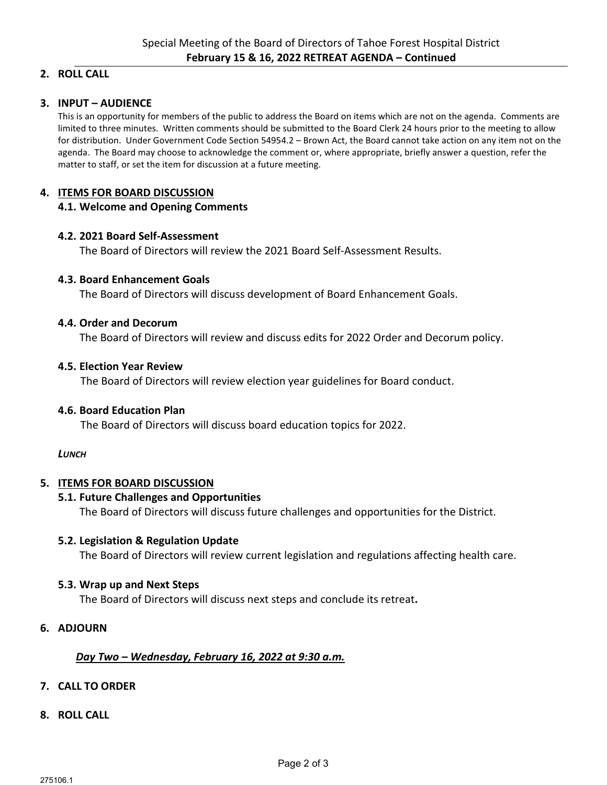# **2. ROLL CALL**

# **3. INPUT – AUDIENCE**

This is an opportunity for members of the public to address the Board on items which are not on the agenda. Comments are limited to three minutes. Written comments should be submitted to the Board Clerk 24 hours prior to the meeting to allow for distribution. Under Government Code Section 54954.2 – Brown Act, the Board cannot take action on any item not on the agenda. The Board may choose to acknowledge the comment or, where appropriate, briefly answer a question, refer the matter to staff, or set the item for discussion at a future meeting.

# **4. ITEMS FOR BOARD DISCUSSION**

# **4.1. Welcome and Opening Comments**

# **4.2. 2021 Board Self-Assessment**

The Board of Directors will review the 2021 Board Self-Assessment Results.

## **4.3. Board Enhancement Goals**

The Board of Directors will discuss development of Board Enhancement Goals.

## **4.4. Order and Decorum**

The Board of Directors will review and discuss edits for 2022 Order and Decorum policy.

## **4.5. Election Year Review**

The Board of Directors will review election year guidelines for Board conduct.

# **4.6. Board Education Plan**

The Board of Directors will discuss board education topics for 2022.

#### *LUNCH*

# **5. ITEMS FOR BOARD DISCUSSION**

# **5.1. Future Challenges and Opportunities**

The Board of Directors will discuss future challenges and opportunities for the District.

#### **5.2. Legislation & Regulation Update**

The Board of Directors will review current legislation and regulations affecting health care.

# **5.3. Wrap up and Next Steps**

The Board of Directors will discuss next steps and conclude its retreat**.**

# **6. ADJOURN**

# *Day Two – Wednesday, February 16, 2022 at 9:30 a.m.*

# **7. CALL TO ORDER**

**8. ROLL CALL**